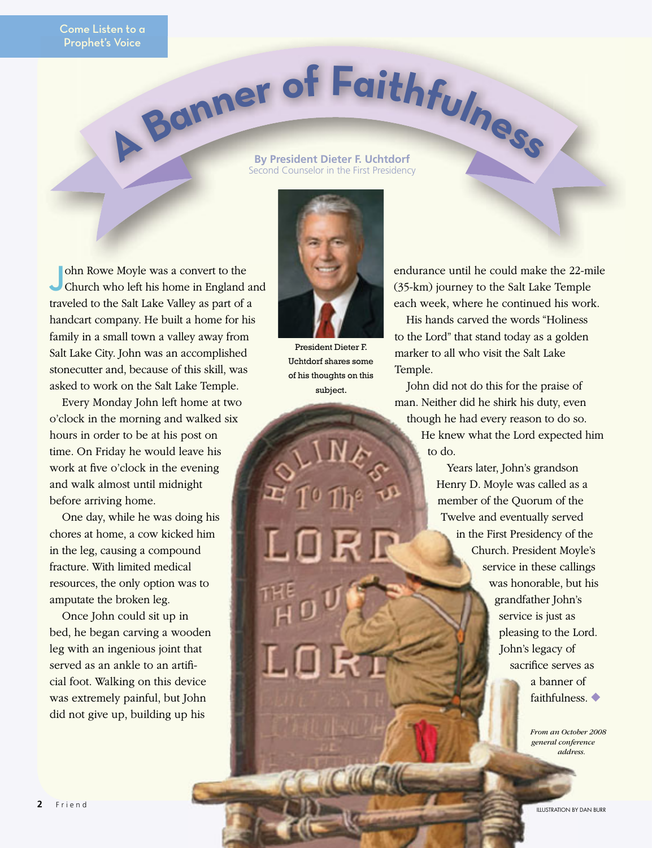## **A <sup>B</sup>anne<sup>r</sup> <sup>o</sup><sup>f</sup> <sup>F</sup>aithfulnes<sup>s</sup>**

## **By President Dieter F. Uchtdorf** Second Counselor in the First Presidency

**J**ohn Rowe Moyle was a convert to the Church who left his home in England and traveled to the Salt Lake Valley as part of a handcart company. He built a home for his family in a small town a valley away from Salt Lake City. John was an accomplished stonecutter and, because of this skill, was asked to work on the Salt Lake Temple.

Every Monday John left home at two o'clock in the morning and walked six hours in order to be at his post on time. On Friday he would leave his work at five o'clock in the evening and walk almost until midnight before arriving home.

One day, while he was doing his chores at home, a cow kicked him in the leg, causing a compound fracture. With limited medical resources, the only option was to amputate the broken leg.

Once John could sit up in bed, he began carving a wooden leg with an ingenious joint that served as an ankle to an artificial foot. Walking on this device was extremely painful, but John did not give up, building up his



President Dieter F. Uchtdorf shares some of his thoughts on this subject.

endurance until he could make the 22-mile (35-km) journey to the Salt Lake Temple each week, where he continued his work.

His hands carved the words "Holiness to the Lord" that stand today as a golden marker to all who visit the Salt Lake Temple.

John did not do this for the praise of man. Neither did he shirk his duty, even though he had every reason to do so. He knew what the Lord expected him to do.

> Years later, John's grandson Henry D. Moyle was called as a member of the Quorum of the Twelve and eventually served in the First Presidency of the Church. President Moyle's service in these callings was honorable, but his grandfather John's service is just as pleasing to the Lord. John's legacy of sacrifice serves as a banner of faithfulness. ◆

> > *From an October 2008 general conference address.*